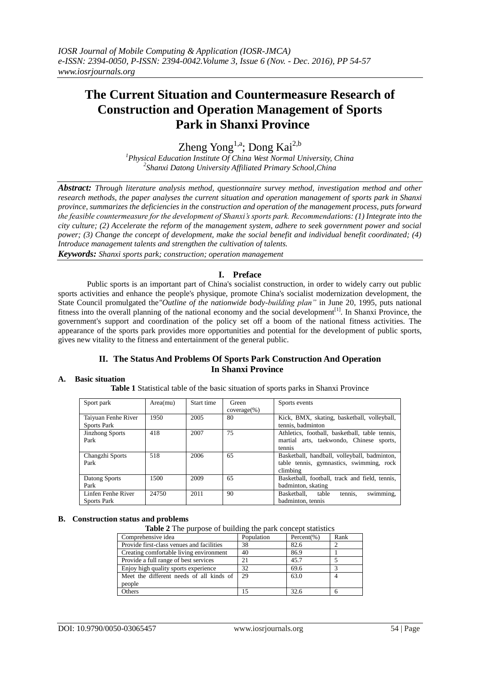# **The Current Situation and Countermeasure Research of Construction and Operation Management of Sports Park in Shanxi Province**

Zheng  $Yong^{1,a}$ ; Dong Kai<sup>2,b</sup>

*<sup>1</sup>Physical Education Institute Of China West Normal University, China 2 Shanxi Datong University Affiliated Primary School,China*

*Abstract: Through literature analysis method, questionnaire survey method, investigation method and other research methods, the paper analyses the current situation and operation management of sports park in Shanxi province, summarizes the deficiencies in the construction and operation of the management process, puts forward the feasible countermeasure for the development of Shanxi's sports park. Recommendations: (1) Integrate into the city culture; (2) Accelerate the reform of the management system, adhere to seek government power and social power; (3) Change the concept of development, make the social benefit and individual benefit coordinated; (4) Introduce management talents and strengthen the cultivation of talents. Keywords: Shanxi sports park; construction; operation management*

# **I. Preface**

Public sports is an important part of China's socialist construction, in order to widely carry out public sports activities and enhance the people's physique, promote China's socialist modernization development, the State Council promulgated the*"Outline of the nationwide body-building plan"* in June 20, 1995, puts national fitness into the overall planning of the national economy and the social development<sup>[1]</sup>. In Shanxi Province, the government's support and coordination of the policy set off a boom of the national fitness activities. The appearance of the sports park provides more opportunities and potential for the development of public sports, gives new vitality to the fitness and entertainment of the general public.

## **II. The Status And Problems Of Sports Park Construction And Operation In Shanxi Province**

## **A. Basic situation**

**Table 1** Statistical table of the basic situation of sports parks in Shanxi Province

| Sport park                                | Area(mu) | Start time | Green<br>$coverage(\%)$ | Sports events                                                                                        |
|-------------------------------------------|----------|------------|-------------------------|------------------------------------------------------------------------------------------------------|
| Taiyuan Fenhe River<br><b>Sports Park</b> | 1950     | 2005       | 80                      | Kick, BMX, skating, basketball, volleyball,<br>tennis, badminton                                     |
| <b>Jinzhong Sports</b><br>Park            | 418      | 2007       | 75                      | Athletics, football, basketball, table tennis,<br>martial arts, taekwondo, Chinese sports,<br>tennis |
| Changzhi Sports<br>Park                   | 518      | 2006       | 65                      | Basketball, handball, volleyball, badminton,<br>table tennis, gymnastics, swimming, rock<br>climbing |
| Datong Sports<br>Park                     | 1500     | 2009       | 65                      | Basketball, football, track and field, tennis,<br>badminton, skating                                 |
| Linfen Fenhe River<br><b>Sports Park</b>  | 24750    | 2011       | 90                      | swimming,<br>tennis,<br>Basketball.<br>table<br>badminton, tennis                                    |

#### **B. Construction status and problems**

**Table 2** The purpose of building the park concept statistics

| Comprehensive idea                        | Population     | Percent $(\% )$ | Rank |
|-------------------------------------------|----------------|-----------------|------|
| Provide first-class venues and facilities | 38             | 82.6            |      |
| Creating comfortable living environment   | 40             | 86.9            |      |
| Provide a full range of best services     | 2 <sub>1</sub> | 45.7            |      |
| Enjoy high quality sports experience      | 32             | 69.6            |      |
| Meet the different needs of all kinds of  | 29             | 63.0            |      |
| people                                    |                |                 |      |
| Others                                    |                | 32.6            |      |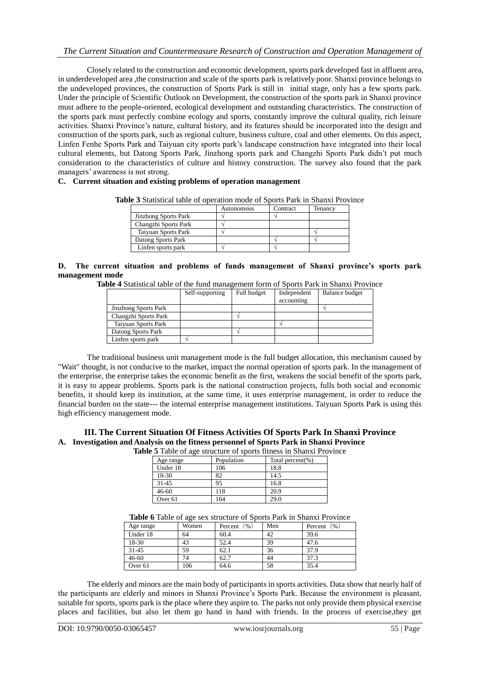Closely related to the construction and economic development, sports park developed fast in affluent area, in underdeveloped area ,the construction and scale of the sports park is relatively poor. Shanxi province belongs to the undeveloped provinces, the construction of Sports Park is still in initial stage, only has a few sports park. Under the principle of Scientific Outlook on Development, the construction of the sports park in Shanxi province must adhere to the people-oriented, ecological development and outstanding characteristics. The construction of the sports park must perfectly combine ecology and sports, constantly improve the cultural quality, rich leisure activities. Shanxi Province's nature, cultural history, and its features should be incorporated into the design and construction of the sports park, such as regional culture, business culture, coal and other elements. On this aspect, Linfen Fenhe Sports Park and Taiyuan city sports park's landscape construction have integrated into their local cultural elements, but Datong Sports Park, Jinzhong sports park and Changzhi Sports Park didn't put much consideration to the characteristics of culture and history construction. The survey also found that the park managers' awareness is not strong.

## **C. Current situation and existing problems of operation management**

**Table 3** Statistical table of operation mode of Sports Park in Shanxi Province

|                             | Autonomous | Contract | Tenancy |
|-----------------------------|------------|----------|---------|
| <b>Jinzhong Sports Park</b> |            |          |         |
| Changzhi Sports Park        |            |          |         |
| Taiyuan Sports Park         |            |          |         |
| Datong Sports Park          |            |          |         |
| Linfen sports park          |            |          |         |

**D. The current situation and problems of funds management of Shanxi province's sports park management mode** 

| Table 4 Statistical table of the fund management form of Sports Park in Shanxi Province |  |  |
|-----------------------------------------------------------------------------------------|--|--|
|-----------------------------------------------------------------------------------------|--|--|

|                             | Self-supporting | Full budget | Independent<br>accounting | <b>Balance budget</b> |
|-----------------------------|-----------------|-------------|---------------------------|-----------------------|
| <b>Jinzhong Sports Park</b> |                 |             |                           |                       |
| Changzhi Sports Park        |                 |             |                           |                       |
| Taiyuan Sports Park         |                 |             |                           |                       |
| Datong Sports Park          |                 |             |                           |                       |
| Linfen sports park          |                 |             |                           |                       |

The traditional business unit management mode is the full budget allocation, this mechanism caused by "Wait" thought, is not conducive to the market, impact the normal operation of sports park. In the management of the enterprise, the enterprise takes the economic benefit as the first, weakens the social benefit of the sports park, it is easy to appear problems. Sports park is the national construction projects, fulls both social and economic benefits, it should keep its institution, at the same time, it uses enterprise management, in order to reduce the financial burden on the state--- the internal enterprise management institutions. Taiyuan Sports Park is using this high efficiency management mode.

## **III. The Current Situation Of Fitness Activities Of Sports Park In Shanxi Province A. Investigation and Analysis on the fitness personnel of Sports Park in Shanxi Province**

**Table 5** Table of age structure of sports fitness in Shanxi Province

|                    | $\frac{1}{2}$ and $\frac{1}{2}$ of $\frac{1}{2}$ and $\frac{1}{2}$ are $\frac{1}{2}$ and $\frac{1}{2}$ are $\frac{1}{2}$ and $\frac{1}{2}$ are $\frac{1}{2}$ and $\frac{1}{2}$ are $\frac{1}{2}$ and $\frac{1}{2}$ are $\frac{1}{2}$ and $\frac{1}{2}$ are $\frac{1}{2}$ and $\frac{1}{2}$ ar |                  |  |  |
|--------------------|-----------------------------------------------------------------------------------------------------------------------------------------------------------------------------------------------------------------------------------------------------------------------------------------------|------------------|--|--|
| Age range          | Population                                                                                                                                                                                                                                                                                    | Total percent(%) |  |  |
| Under 18           | 106                                                                                                                                                                                                                                                                                           | 18.8             |  |  |
| 18-30              | 82                                                                                                                                                                                                                                                                                            | 14.5             |  |  |
| $31 - 45$          | 95                                                                                                                                                                                                                                                                                            | 16.8             |  |  |
| $46 - 60$          | 118                                                                                                                                                                                                                                                                                           | 20.9             |  |  |
| Over <sub>61</sub> | 164                                                                                                                                                                                                                                                                                           | 29.0             |  |  |

#### **Table 6** Table of age sex structure of Sports Park in Shanxi Province

| Age range          | Women | (96)<br>Percent | Men | (96)<br>Percent |
|--------------------|-------|-----------------|-----|-----------------|
| Under 18           | 64    | 60.4            | 42  | 39.6            |
| 18-30              | 43    | 52.4            | 39  | 47.6            |
| $31 - 45$          | 59    | 62.1            | 36  | 37.9            |
| $46 - 60$          | 74    | 62.7            | 44  | 37.3            |
| Over <sub>61</sub> | 106   | 64.6            | 58  | 35.4            |

The elderly and minors are the main body of participants in sports activities. Data show that nearly half of the participants are elderly and minors in Shanxi Province's Sports Park. Because the environment is pleasant, suitable for sports, sports park is the place where they aspire to. The parks not only provide them physical exercise places and facilities, but also let them go hand in hand with friends. In the process of exercise,they get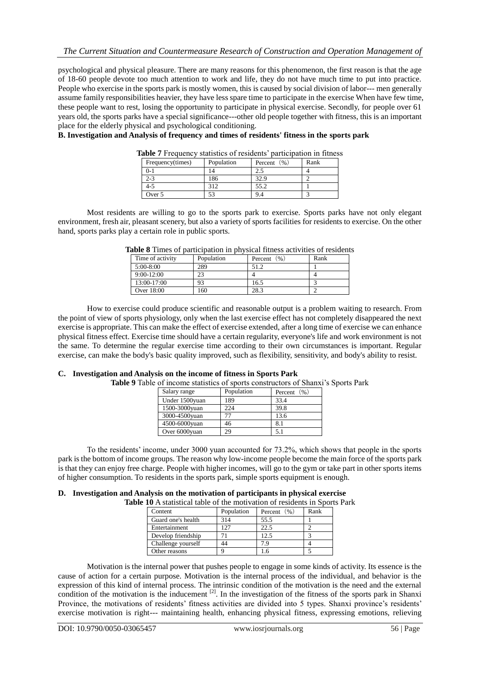psychological and physical pleasure. There are many reasons for this phenomenon, the first reason is that the age of 18-60 people devote too much attention to work and life, they do not have much time to put into practice. People who exercise in the sports park is mostly women, this is caused by social division of labor--- men generally assume family responsibilities heavier, they have less spare time to participate in the exercise When have few time, these people want to rest, losing the opportunity to participate in physical exercise. Secondly, for people over 61 years old, the sports parks have a special significance---other old people together with fitness, this is an important place for the elderly physical and psychological conditioning.

## **B. Investigation and Analysis of frequency and times of residents' fitness in the sports park**

| Frequency(times) | Population | (96)<br>Percent | Rank |
|------------------|------------|-----------------|------|
| $2 - 1$          |            |                 |      |
| $2 - 3$          | 186        | 32.9            |      |
| 4-5              | 312        | 55.2            |      |
| Over 5           |            | 9.4             |      |

**Table 7** Frequency statistics of residents' participation in fitness

Most residents are willing to go to the sports park to exercise. Sports parks have not only elegant environment, fresh air, pleasant scenery, but also a variety of sports facilities for residents to exercise. On the other hand, sports parks play a certain role in public sports.

| Time of activity | Population | Percent $(\% )$ | Rank |
|------------------|------------|-----------------|------|
| $5:00-8:00$      | 289        | 51.2            |      |
| $9:00-12:00$     | 23         |                 |      |
| 13:00-17:00      | 93         | 16.5            |      |
| Over 18:00       | 160        | 28.3            |      |

**Table 8** Times of participation in physical fitness activities of residents

How to exercise could produce scientific and reasonable output is a problem waiting to research. From the point of view of sports physiology, only when the last exercise effect has not completely disappeared the next exercise is appropriate. This can make the effect of exercise extended, after a long time of exercise we can enhance physical fitness effect. Exercise time should have a certain regularity, everyone's life and work environment is not the same. To determine the regular exercise time according to their own circumstances is important. Regular exercise, can make the body's basic quality improved, such as flexibility, sensitivity, and body's ability to resist.

#### **C. Investigation and Analysis on the income of fitness in Sports Park**

**Table 9** Table of income statistics of sports constructors of Shanxi's Sports Park

| Salary range   | Population | Percent $(\% )$ |
|----------------|------------|-----------------|
| Under 1500yuan | 189        | 33.4            |
| 1500-3000yuan  | 224        | 39.8            |
| 3000-4500yuan  |            | 13.6            |
| 4500-6000yuan  | 46         | 8.1             |
| Over 6000yuan  | 29         | 5.1             |

To the residents' income, under 3000 yuan accounted for 73.2%, which shows that people in the sports park is the bottom of income groups. The reason why low-income people become the main force of the sports park is that they can enjoy free charge. People with higher incomes, will go to the gym or take part in other sports items of higher consumption. To residents in the sports park, simple sports equipment is enough.

#### **D. Investigation and Analysis on the motivation of participants in physical exercise**

**Table 10** A statistical table of the motivation of residents in Sports Park

| Content            | Population | Percent $(\% )$ | Rank |
|--------------------|------------|-----------------|------|
| Guard one's health | 314        | 55.5            |      |
| Entertainment      |            | 22.5            |      |
| Develop friendship |            | 12.5            |      |
| Challenge yourself | 44         | 7 Q             |      |
| Other reasons      |            |                 |      |

Motivation is the internal power that pushes people to engage in some kinds of activity. Its essence is the cause of action for a certain purpose. Motivation is the internal process of the individual, and behavior is the expression of this kind of internal process. The intrinsic condition of the motivation is the need and the external condition of the motivation is the inducement  $[2]$ . In the investigation of the fitness of the sports park in Shanxi Province, the motivations of residents' fitness activities are divided into 5 types. Shanxi province's residents' exercise motivation is right--- maintaining health, enhancing physical fitness, expressing emotions, relieving